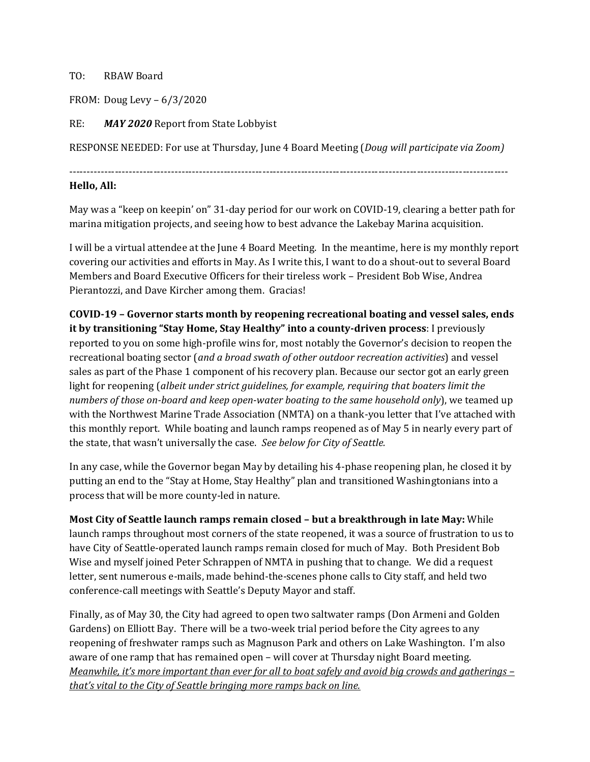## TO: RBAW Board

FROM: Doug Levy – 6/3/2020

RE: *MAY 2020* Report from State Lobbyist

RESPONSE NEEDED: For use at Thursday, June 4 Board Meeting (*Doug will participate via Zoom)*

-----------------------------------------------------------------------------------------------------------------------------

## **Hello, All:**

May was a "keep on keepin' on" 31-day period for our work on COVID-19, clearing a better path for marina mitigation projects, and seeing how to best advance the Lakebay Marina acquisition.

I will be a virtual attendee at the June 4 Board Meeting. In the meantime, here is my monthly report covering our activities and efforts in May. As I write this, I want to do a shout-out to several Board Members and Board Executive Officers for their tireless work – President Bob Wise, Andrea Pierantozzi, and Dave Kircher among them. Gracias!

## **COVID-19 – Governor starts month by reopening recreational boating and vessel sales, ends it by transitioning "Stay Home, Stay Healthy" into a county-driven process**: I previously reported to you on some high-profile wins for, most notably the Governor's decision to reopen the recreational boating sector (*and a broad swath of other outdoor recreation activities*) and vessel sales as part of the Phase 1 component of his recovery plan. Because our sector got an early green light for reopening (*albeit under strict guidelines, for example, requiring that boaters limit the numbers of those on-board and keep open-water boating to the same household only*), we teamed up with the Northwest Marine Trade Association (NMTA) on a thank-you letter that I've attached with this monthly report. While boating and launch ramps reopened as of May 5 in nearly every part of

In any case, while the Governor began May by detailing his 4-phase reopening plan, he closed it by putting an end to the "Stay at Home, Stay Healthy" plan and transitioned Washingtonians into a process that will be more county-led in nature.

the state, that wasn't universally the case. *See below for City of Seattle.*

**Most City of Seattle launch ramps remain closed – but a breakthrough in late May:** While launch ramps throughout most corners of the state reopened, it was a source of frustration to us to have City of Seattle-operated launch ramps remain closed for much of May. Both President Bob Wise and myself joined Peter Schrappen of NMTA in pushing that to change. We did a request letter, sent numerous e-mails, made behind-the-scenes phone calls to City staff, and held two conference-call meetings with Seattle's Deputy Mayor and staff.

Finally, as of May 30, the City had agreed to open two saltwater ramps (Don Armeni and Golden Gardens) on Elliott Bay. There will be a two-week trial period before the City agrees to any reopening of freshwater ramps such as Magnuson Park and others on Lake Washington. I'm also aware of one ramp that has remained open – will cover at Thursday night Board meeting. *Meanwhile, it's more important than ever for all to boat safely and avoid big crowds and gatherings – that's vital to the City of Seattle bringing more ramps back on line.*